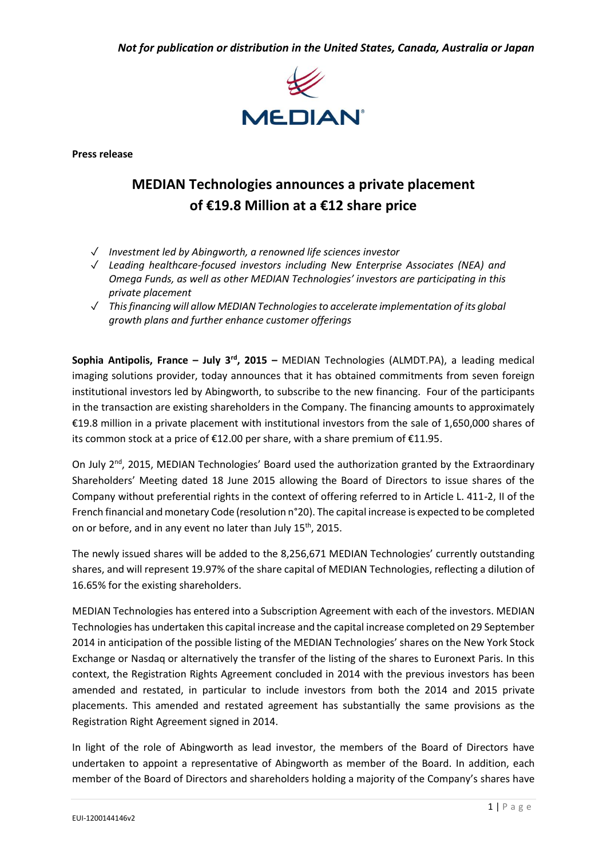*Not for publication or distribution in the United States, Canada, Australia or Japan*



**Press release**

# **MEDIAN Technologies announces a private placement of €19.8 Million at a €12 share price**

- ✓ *Investment led by Abingworth, a renowned life sciences investor*
- ✓ *Leading healthcare-focused investors including New Enterprise Associates (NEA) and Omega Funds, as well as other MEDIAN Technologies' investors are participating in this private placement*
- ✓ *This financing will allow MEDIAN Technologies to accelerate implementation of its global growth plans and further enhance customer offerings*

**Sophia Antipolis, France - July 3<sup>rd</sup>, 2015 - MEDIAN Technologies (ALMDT.PA), a leading medical** imaging solutions provider, today announces that it has obtained commitments from seven foreign institutional investors led by Abingworth, to subscribe to the new financing. Four of the participants in the transaction are existing shareholders in the Company. The financing amounts to approximately €19.8 million in a private placement with institutional investors from the sale of 1,650,000 shares of its common stock at a price of €12.00 per share, with a share premium of €11.95.

On July 2<sup>nd</sup>, 2015, MEDIAN Technologies' Board used the authorization granted by the Extraordinary Shareholders' Meeting dated 18 June 2015 allowing the Board of Directors to issue shares of the Company without preferential rights in the context of offering referred to in Article L. 411-2, II of the French financial and monetary Code (resolution n°20). The capital increase is expected to be completed on or before, and in any event no later than July 15<sup>th</sup>, 2015.

The newly issued shares will be added to the 8,256,671 MEDIAN Technologies' currently outstanding shares, and will represent 19.97% of the share capital of MEDIAN Technologies, reflecting a dilution of 16.65% for the existing shareholders.

MEDIAN Technologies has entered into a Subscription Agreement with each of the investors. MEDIAN Technologies has undertaken this capital increase and the capital increase completed on 29 September 2014 in anticipation of the possible listing of the MEDIAN Technologies' shares on the New York Stock Exchange or Nasdaq or alternatively the transfer of the listing of the shares to Euronext Paris. In this context, the Registration Rights Agreement concluded in 2014 with the previous investors has been amended and restated, in particular to include investors from both the 2014 and 2015 private placements. This amended and restated agreement has substantially the same provisions as the Registration Right Agreement signed in 2014.

In light of the role of Abingworth as lead investor, the members of the Board of Directors have undertaken to appoint a representative of Abingworth as member of the Board. In addition, each member of the Board of Directors and shareholders holding a majority of the Company's shares have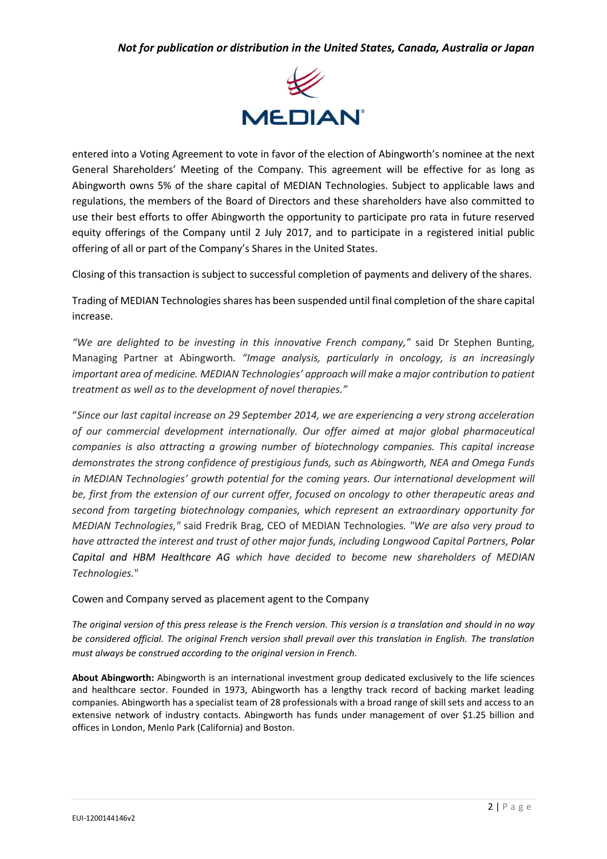

entered into a Voting Agreement to vote in favor of the election of Abingworth's nominee at the next General Shareholders' Meeting of the Company. This agreement will be effective for as long as Abingworth owns 5% of the share capital of MEDIAN Technologies. Subject to applicable laws and regulations, the members of the Board of Directors and these shareholders have also committed to use their best efforts to offer Abingworth the opportunity to participate pro rata in future reserved equity offerings of the Company until 2 July 2017, and to participate in a registered initial public offering of all or part of the Company's Shares in the United States.

Closing of this transaction is subject to successful completion of payments and delivery of the shares.

Trading of MEDIAN Technologies shares has been suspended until final completion of the share capital increase.

*"We are delighted to be investing in this innovative French company,"* said Dr Stephen Bunting, Managing Partner at Abingworth*. "Image analysis, particularly in oncology, is an increasingly important area of medicine. MEDIAN Technologies' approach will make a major contribution to patient treatment as well as to the development of novel therapies."*

"*Since our last capital increase on 29 September 2014, we are experiencing a very strong acceleration of our commercial development internationally. Our offer aimed at major global pharmaceutical companies is also attracting a growing number of biotechnology companies. This capital increase demonstrates the strong confidence of prestigious funds, such as Abingworth, NEA and Omega Funds in MEDIAN Technologies' growth potential for the coming years. Our international development will be, first from the extension of our current offer, focused on oncology to other therapeutic areas and second from targeting biotechnology companies, which represent an extraordinary opportunity for MEDIAN Technologies,"* said Fredrik Brag, CEO of MEDIAN Technologies*. "We are also very proud to have attracted the interest and trust of other major funds, including Longwood Capital Partners, Polar Capital and HBM Healthcare AG which have decided to become new shareholders of MEDIAN Technologies.*"

### Cowen and Company served as placement agent to the Company

*The original version of this press release is the French version. This version is a translation and should in no way*  be considered official. The original French version shall prevail over this translation in English. The translation *must always be construed according to the original version in French.*

**About Abingworth:** Abingworth is an international investment group dedicated exclusively to the life sciences and healthcare sector. Founded in 1973, Abingworth has a lengthy track record of backing market leading companies. Abingworth has a specialist team of 28 professionals with a broad range of skill sets and access to an extensive network of industry contacts. Abingworth has funds under management of over \$1.25 billion and offices in London, Menlo Park (California) and Boston.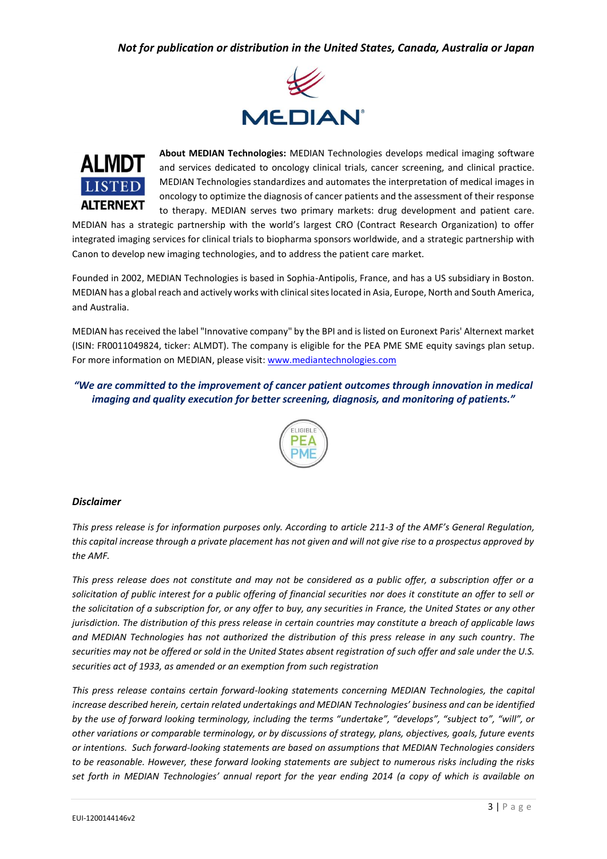## *Not for publication or distribution in the United States, Canada, Australia or Japan*





**About MEDIAN Technologies:** MEDIAN Technologies develops medical imaging software and services dedicated to oncology clinical trials, cancer screening, and clinical practice. MEDIAN Technologies standardizes and automates the interpretation of medical images in oncology to optimize the diagnosis of cancer patients and the assessment of their response to therapy. MEDIAN serves two primary markets: drug development and patient care.

MEDIAN has a strategic partnership with the world's largest CRO (Contract Research Organization) to offer integrated imaging services for clinical trials to biopharma sponsors worldwide, and a strategic partnership with Canon to develop new imaging technologies, and to address the patient care market.

Founded in 2002, MEDIAN Technologies is based in Sophia-Antipolis, France, and has a US subsidiary in Boston. MEDIAN has a global reach and actively works with clinical sites located in Asia, Europe, North and South America, and Australia.

MEDIAN has received the label "Innovative company" by the BPI and is listed on Euronext Paris' Alternext market (ISIN: FR0011049824, ticker: ALMDT). The company is eligible for the PEA PME SME equity savings plan setup. For more information on MEDIAN, please visit[: www.mediantechnologies.com](http://www.mediantechnologies.com/)

## *"We are committed to the improvement of cancer patient outcomes through innovation in medical imaging and quality execution for better screening, diagnosis, and monitoring of patients."*



#### *Disclaimer*

*This press release is for information purposes only. According to article 211-3 of the AMF's General Regulation, this capital increase through a private placement has not given and will not give rise to a prospectus approved by the AMF.*

*This press release does not constitute and may not be considered as a public offer, a subscription offer or a solicitation of public interest for a public offering of financial securities nor does it constitute an offer to sell or the solicitation of a subscription for, or any offer to buy, any securities in France, the United States or any other jurisdiction. The distribution of this press release in certain countries may constitute a breach of applicable laws and MEDIAN Technologies has not authorized the distribution of this press release in any such country. The securities may not be offered or sold in the United States absent registration of such offer and sale under the U.S. securities act of 1933, as amended or an exemption from such registration* 

*This press release contains certain forward-looking statements concerning MEDIAN Technologies, the capital increase described herein, certain related undertakings and MEDIAN Technologies' business and can be identified by the use of forward looking terminology, including the terms "undertake", "develops", "subject to", "will", or other variations or comparable terminology, or by discussions of strategy, plans, objectives, goals, future events or intentions. Such forward-looking statements are based on assumptions that MEDIAN Technologies considers to be reasonable. However, these forward looking statements are subject to numerous risks including the risks set forth in MEDIAN Technologies' annual report for the year ending 2014 (a copy of which is available on*